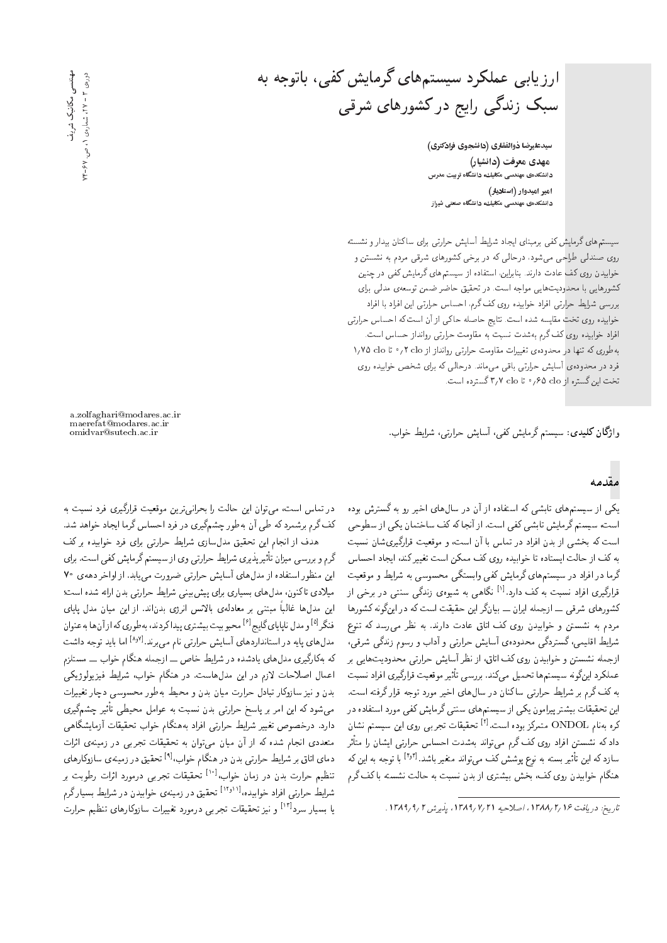ارزیابی عملکرد سیستمهای گرمایش کفی، باتوجه به سبک زندگی رایج در کشورهای شرقی

سيدعليرضا ذوالفقاري (دانشجوي فرادكتري) مهدی معرفت (دانشیار) دانشکدهی مهندسی مکانیك، دانشگاه تربیت مدرس امیر امیدوار ( استادیار) دانشکدهی مهندسی مکانیك، دانشگاه صنعتی شیراز

سیستمهای گرمایش کفی برمبنای ایجاد شرایط آسایش حرارتی برای ساکنان بیدار و نشسته روی صندلی طراحی میشود، درحالی که در برخی کشورهای شرقی مردم به نشستن و خوابیدن روی کف عادت دارند. بنابراین، استفاده از سیستمهای گرمایش کفی در چنین كشورهايي با محدوديت هايي مواجه است. در تحقيق حاضر ضمن توسعهى مدلبي براي بررسی شرایط حرارتی افراد خوابیده روی کف گرم، احساس حرارتی این افراد با افراد خوابيده روى تخت مقايسه شده است. نتايج حاصله حاكي از آن است كه احساس حرارتي افراد خوابيده روى كف گرم به شدت نسبت به مقاومت حرارتى روانداز حساس است. به طوری که تنها در محدودهی تغییرات مقاومت حرارتی روانداز از N/V۵ clo ۲۰٫۲ دا فرد در محدودهی أسایش حرارتی باقی میماند. درحالی که برای شخص خوابیده روی تخت این گستره از ۶۵ clo/° تا ۳٫۷ clo گسترده است.

وا**ژگان كليدي**: سيستم گرمايش كفي، آسايش حرارتي، شرايط خواب.

## مقدمه

یکی از سیستمهای تابشی که استفاده از آن در سال های اخیر رو به گسترش بوده است، سیستم گرمایش تابشی کفی است. از آنجا که کف ساختمان یکی از سطوحی است که بخشی از بدن افراد در تماس با آن است، و موقعیت قرارگیریشان نسبت<br>به کف از حالت ایستاده تا خوابیده روی کف ممکن است تغییرکند، ایجاد احساس به لف از حالت ایسناده با خوابیده روی لف ممکن است تغییر لبند، ایجاد احساس<br>مجان ایرانی درما در آفراد در سیستم های درمایس نفی وابستگی محسوسی به سرایط و موقعیت<br>- اگر ساخت استک قرارگیری افراد نسبت به کف دارد.<sup>ادا</sup> نگاهی به شیوهی زندگی سنتی در برخی از<br>که سالم مقتد است اسلمان مستقبل مقتد است که مستقبل که در کار لسورهای سرقی ـــ ازجمه ایران ـــ بیان(ر این حقیقت است له در این(نوبه لسورها<br>میسور میسیسی مردم به سسسن و حوابیدن روی تف آنان عادت دارند. به نظر می رسد ته سوخ<br>مساحات مستقرح تحریک می آمد. شرایط اقلیمی، گستردگی محدودهی آسایش حرارتی و آداب و رسوم زندگی شرقی، ازجمله نشستن و خوابیدن روی کف اتاق، از نظر آسایش حرارتی محدودیتهایی بر عملارد این(ونه سیستم ها تحمیل می(ند. بررسی تاتیر موقعیت فرار(یری افراد نسبت<br>حمید گفت: ایران ایرانی ایران به کف گرم بر شرایط حرارتی ساکنان در سال۱های اخیر مورد توجه قرار گرفته است. این تحقیقات بیشتر پیرامون یکی از سیستمهای سنتبی گرمایش کفی مورد استفاده در تحقیقات تجربی روی این سیستم نسان<br>مصنف کره بهنام ONDOL متمرکز بوده است.<sup>[۲]</sup><br>مالک زنست افغان داد که نشستن افراد روی کف کرم می تواند بهشدت احساس حرارتی ایشان را متاثر<br>با یک ایستانه سازدکه این تأثیر بسته به نوع پوشش کف میتواند متغیر باشد.<sup>(۴٫۲۲</sup> با توجه به این که<br>مگاه منطقه این مستقیم میتوانید و میتوانید و میتوانید و میتوانید و میتوانید و میتوانید هنگام خوابیدن روی کف، بخش بیشتری از بدن نسبت به حالت نشسته با کف گرم

a.zolfaghari@modares.ac.ir maerefat@modares.ac.ir

در نما س است، می نوان این حالت را بحرانی ترین موفعیت فرارتیری فرد نسبت به<br>برستگریست می باستمبر باشیستگری از اینکستان استکران استفاده باشیست تف درم برسمرد ته طی آن به طور چسم نیری در فرد احساس درما ایجاد حواهد سد.<br>سینما از این از این است تصدیر این این این این این این مورد این مورد برای مورد هدف از انجام این تحقیق مدل سازی شرایط حرارتی برای فرد خوابیده بركف این منظور استفاده از مدل های آسایش حرارتی ضرورت می یابد. از اواخر دههی ۷۰ گرم و بررسی میزان تأثیرپذیری شرایط حرارتی وی از سیستم گرمایش کفی است. برای این منطور استفاده از مدل های اسایس حزاربی صرورت می یابد. از اواحر دههی ۲۰<br>- افراد حاکمت میدانید &CU= xOW x=Q= uO@ |DQ=QL \}=QW |v}@V}B |=Q@ |Q=}U@ |=ypOt 'uwvm=D |Oq}t |ین مدلها غالباً مبتنی بر معادلهی بالانس انرژی بدن|ند. از این میان مدل پایای قندر ` و مدل ناپایای تاییخ ` محبوبیت بیستری پیدا تردند، به طوری که از آن ها به عنوان<br>مدل استفاده این استفاده استفاده استفاده استفاده استفاده استفاده استفاده استفاده <sup>[4]</sup> و مدل ناپایای گایج<sup>[4]</sup><br>-مدل های پایه در استانداردهای آسایش حرارتی نام می برند.<sup>[۸۰۷]</sup> اما باید توجه داشت<br>بر حرا<sup>مج</sup> که بهکارگیری مدل های یادشده در شرایط خاص ـــ ازجمله هنگام خواب ـــ مستلزم اعمال اصلاحات لازم در این مدل هاست. در هنگام خواب، شرایط فیزیولوژیکی بدن و نیز سازوکار تبادل حرارت میان بدن و محیط بهطور محسوسی دچار تغییرات میشود که این امر بر پاسخ حرارتی بدن نسبت به عوامل محیطی تاتیر چشم دری<br>استان میشود: دارد. درخصوص تغییر شرایط حرارتی افراد بههنگام خواب تحقیقات آزمایشگاهم, متعددی انجام شده که از آن میان میهتوان به تحقیقات تجربی در زمینهی اثرات دمای اتاق بر شرایط حرارتی بدن در هنگام خواب<sup>19</sup> تحقیق در زمینهی سازوکارهای<br>تنظیمات میانید و بدنیا میدان ا<sup>ور</sup>ایج توانید و سطیم حرارت بدن در زمان حواب، مستخفیفات نجربی درمورد اثرات رطوبت بر<br>شرایط حرارته افراد خوابیده،<sup>۱۱۱</sup>۰ تحقیق در زمینهی خوابیدن در شرایط بسیار گرم تنظیم حرارت بدن در زمان خواب<sup>[۱۰]</sup> تحقیقات تجربی درمورد اثرات رطوبت بر سرایط حراربی افراد حوابیده، مستقیم در زمینهی حوابیدن در سرایط بسیار درم<br>استاد استاد استاد و مستوی و سایت و مستقیم در استاد کارول مستقیم استاد یا بسیار سرد<sup>[۱۲]</sup> و نیز تحقیقات تجربی درمورد تغییرات سازوکارهای تنظیم حرارت<br>.

مهندسی مکانیک شریف<br>دوره، ۳ – ۲۷، شماره، ۱، ص. ۶۷–۴ مهندسي مكانيك شريف دورەی ۲ - ۲۷، شمارەی ۱، ص. ۶۷–۷۴

تاريخ: دريافت ١٣٨٩/٢/١٣٨٨، اصلاحيه ١٣٨٩/٢/١٣٨١، يذيرش ٢/٩/١٣٨٩.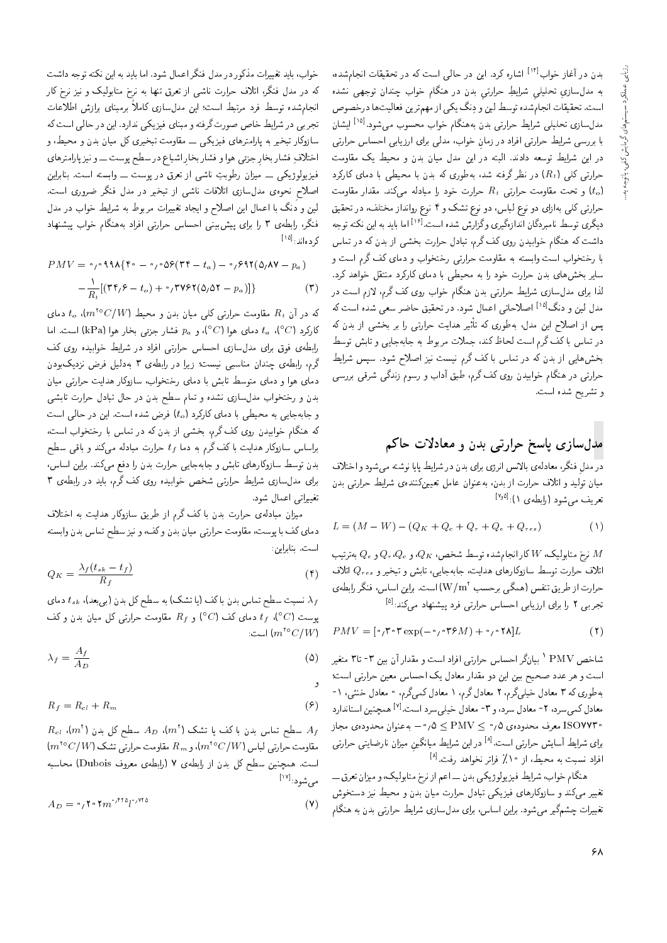بدن در آغاز خواب<sup>[۱۴]</sup> اشاره کرد. این در حال<sub>ی</sub> است که در تحقیقات انجامشده، به مدلسازیِ تحلیلیِ شرایطِ حرارتیِ بدن در هنگام خواب چندان توجهی نشده<br>است توسط ایران در مطالب مرگ است. تحقیقات انجام شده توسط لین و دِنگ یکی از مهم ترین فعالیت ها درخصوص<br>ماه سالمیت است استفاده است مدل سازی تحلیلبی شرایط حرارتی بدن به هنگام خواب محسوب میشود.<sup>[۱۵]</sup> ایشان<br>ا با بررسی شرایط حرارتی افراد در زمان خواب، مدلی برای ارزیابی احساس حرارتی در این شرایط توسعه دادند. البته در این مدل میان بدن و محیط یک مقاومت حرارتی کلی  $(R_t)$ ) در نظر گرفته شد، بهطوری که بدن با محیطی با دمای کارکرد و تحت مقاومت حرارتبی  $R_t$  حرارت خود را مبادله میکند. مقدار مقاومت  $(t_o)$ حرارتی کلی بهازای دو نوع لباس، دو نوع تشک و ۴ نوع روانداز مختلف، در تحقیق دیگری توسط نامبردگان اندازهگیری وگزارش شده است.<sup>[۱۶]</sup> اما باید به این نکته توجه<br>باید میکرد برگان مدارست میکند گ داشت که هنگام خوابیدن روی کف گرم، تبادل حرارت بخشی از بدن که در تماس با رختخواب است وابسته به مقاومت حرارتی رختخواب و دمای کف گرم است و سایر بخشهای بدن حرارت خود را به محیطی با دمای کارکرد منتقل خواهد کرد. لذا برای مدل سازی شرایط حرارتی بدن هنگام خواب روی کف گرم، لازم است در مدل لین و دنگ<sup>[۱۵]</sup> اصلاحاتی اعمال شود. در تحقیق حاضر سعی شده است که xm uO@ R= |WN@ Q@ =Q |DQ=QL C}=Oy Q}F -=D xm |Qw]x@ 'pOt u}= KqY= R= TB در تماس با كف گرم است لحاظ كند، جملات مربوط به جابهجايي و تابش توسط بخشهایی از بدن که در تماس با کف گرم نیست نیز اصلاح شود. سپس شرایط حرارتی در هنگام خوابیدن روی کف گرم، طبق أداب و رسوم زندگی شرقی بررسی و تشريح شده است.

### مدلسازی پاسخ حرارتی بدن و معادلات حاکم

در مدل فنكر، معادلهى بالأنس انرژى براى بدن در شرايط پايا نوشته مىشود و اختلاف<br>ساید باید سازاد: میان تولید و اتلاف حرارت از بدن، بهعنوان عامل تعیینکنندهی شرایط حرارتی بدن تعریف میشود (رابطهی ۱):<sup>[۱٬</sup>۰<sup>۵]</sup>.

$$
L = (M - W) - (Q_K + Q_e + Q_r + Q_e + Q_{res})
$$
 (1)

نرم متابولیک،  $W$ کار انجام شده توسط شخص،  $Q_K$ ، و $Q_\sigma, Q_e$  بهترتیب  $M$ اتلاف حرارت توسط سازوکارهای هدایت، جابهجایی، تابش و تبخیر و  $Q_{res}$  اتلاف حرارت از طریق تنفس (همگی برحسب 'W/m) است. براین اساس، فنگر رابطهي تجربی ۲ را برای ارزیابی احساس حرارتی فرد پیشنهاد میکند:<sup>[۵]</sup><br>.

$$
PMV = [\circ, \mathbf{r} \circ \mathbf{r} \exp(-\circ, \circ \mathbf{r} \circ M) + \circ, \circ \mathbf{r} \wedge]L
$$
 (1)

شاخص PMV ` بیانگر احساس حرارتی افراد است و مقدار آن بین ۳- تا۳ متغیر<br>ا است و هر عدد صحیح بین این دو مقدار معادل یک احساس معین حرارتی است؛ به طوري كه ٣ معادل خيلي گرم، ٢ معادل گرم، ١ معادل كمي گرم، ٠ معادل خنثي، ١-OQ=Ov=DU=u}vJty [7] "CU= OQU|r}N pO=at 3 w 'OQU pO=at 2 'OQU|tm pO=at «ISOYY۳ معرف محدودهي ۰٫۵ ≤ PMV ك ۰٫۵ به عنوان محدودهي مجاز برای شرایط آسایش حرارتی است.<sup>[۸]</sup> در این شرایط میانگینِ میزان نارضایتی حرارتی<br>ازامید در این مطالعه دانشناه دولت است. افراد نسبت به محیط، از ۱۰٪ فراتر نخواهد رفت.<sup>[۸]</sup><br>مگاسمه استفاده استفاده استفاده

هنگام خواب، شرایط فیزیولوژیکی بدن ــ اعم از نرخ متابولیک، و میزان تعرق ـــ تغییر میکند و سازوکارهای فیزیکی تبادل حرارت میان بدن و محیط نیز دستخوش تغییرات چشمگیر میشود. براین اساس، برای مدلسازی شرایط حرارتی بدن به هنگام

حواب؛ باید تعییرات مدتور در مدل قمدر اعمال سود. اما باید به این مدمه توجه داست<br>مستقل از کار ایران استقلال استقلال استقلال استقلال استقلال استقلال استقلال که در مدل فنگر، اتلاف حرارت ناشی از تعرق تنها به نرخ متابولیک و نیز نرخ کار انجام شده توسط ورد مرتبط است؛ این مدلسازی کاملا برمبنای برازش اطلاعات<br>-تجربی در شرایط خاص صورت گرفته و مبنای فیزیکی ندارد. این در حالی است که سازوکار تبخیر به پارلمترهای فیزیکمی ـــ مقاومت تبخیری کل میان بدن و محیط، و اختلاف فشار بخار جزئى هوا و فشار بخارِ اشباع در سطح پوست ـــــو نيز پارلمترهاى<br>فرسطه در کرد فیزیولوژیکی ـــ میزان رطوبتِ ناشی از تعرق در پوست ــــ وابسته است. بنابراین<br>اسلام در مطالعه استفاده اسلام استفاده استفاده استفاده است اصلاح نحوهى مدل سازى اتلافات ناشى از تبخير در مدل فنگر ضرورى است. لین و دنگ با اعمال این اصلاح و ایجاد تغییرات مربوط به شرایط خواب در مدل فنگر، رابطهى ٣ را براى پيش بينى احساس حرارتى افراد به هنگام خواب پيشنهاد کردهاند:<sup>[۱۵]</sup>

$$
PMV = \frac{\partial \rho}{\partial \lambda} \{ f \circ - \frac{\partial \rho}{\partial \lambda} (f \circ - \frac{\partial \rho}{\partial \lambda}) - \frac{\partial \rho}{\partial \lambda} \{ f (\Delta/\lambda V - p_a) \} - \frac{\partial \rho}{R_t} [ (f \circ \rho - t_o) + \frac{\partial \rho}{\partial \lambda} (f \circ \Delta V - p_a) ] \}
$$
 (7)

که در آن  $R_t$  مقاومت حرارتی کلی میان بدن و محیط  $(m^{10}C/W)$ ، م $t$  دمای کارکرد (C°)، at دمای هوا (C°)، و  $p_a$  فشار جزئی بخار هوا (kPa) است. اما<br>رابطهی فوق برای مدلسازی احساس حرارتی افراد در شرایط خوابیده روی کف رابطهی قوق برای مدل سازی احساس حراربی اقراد در سرایط حوابیده روی نف<br>حساب است سایت است درم، رابطهی چندان مناسبی نیست: زیرا در رابطهی ۱ بهدلیل فرض نزدیکبودن<br>درم، رابطهی چندان مناسبی دمای هوا و دمای متوسط تابش با دمای رختخواب، سازوکار هدایت حرارتی میان بدن و رختخواب مدل سازی نشده و تمام سطح بدن در حال تبادل حرارت تابشی و جابهجایی به محیطی با دمای کارکرد (to فرض شده است. این در حالی است که هنگام خوابیدن روی کف گرم، بخشی از بدن که در تماس با رختخواب است، براساس سازوکار هدایت با کف گرم به دما  $t_f$  حرارت مبادله میکند و باقی سطح بدن توسط سازوكارهاى تابش و جابهجايي حرارت بدن را دفع مىكند. براين اساس، برای مدل سازی شرایط حرارتی شخص خوابیده روی کف گرم، باید در رابطهی ۳ تغييراتي اعمال شود.

میزان مبادلهی حرارت بدن با کف گرم از طریق سازوکار هدایت به اختلاف دمای کف با پوست، مقاومت حرارتی میان بدن و کف، و نیز سطح تماس بدن وابسته است. بنابراین:

$$
Q_K = \frac{\lambda_f (t_{sk} - t_f)}{R_f} \tag{f}
$$

نسبت سطح تماس بدن باکف (یا تشک) به سطح کل بدن (برمبعد)،  $t_{sk}$  دمای  $\lambda_f$ پوست  ${}^{\circ}C$ )،  ${}^{\circ}t$  دمای کف  ${}^{\circ}C$ ) و  ${}^{\circ}R_f$  مقاومت حرارتی کل میان بدن و کف  $\left| \mathbb{C}^{n^{\mathsf{to}}}\mathbb{C}/W\right|$ است:

$$
\lambda_f = \frac{A_f}{A_D} \tag{0}
$$

w

$$
R_f = R_{cl} + R_m \tag{9}
$$

 $R_{cl}$  'm<sup>t</sup>) سطح تماس بدن با کف یا تشک (m<sup>t</sup>) سطح کل بدن (m<sup>t</sup>) سطح کل بدن (m<sup>t</sup>) سطح  $\dim^{16}C/W$ ) مقاومت حرارتی لباس ( $m^{16}C/W$ )، و  $R_m$  مقاومت حرارتی تشک است. همچنین سطح کل بدن از رابطه ی ۷ (رابطهی معروف Dubois) محاسبه مىشود:<sup>[۱۷]</sup>

$$
A_D = \circ \, \int \circ \, \mathbf{Y} \, \mathbf{w} \, \mathbf{w} \, \mathbf{w} \, \mathbf{w} \, \mathbf{w} \, \mathbf{w} \tag{V}
$$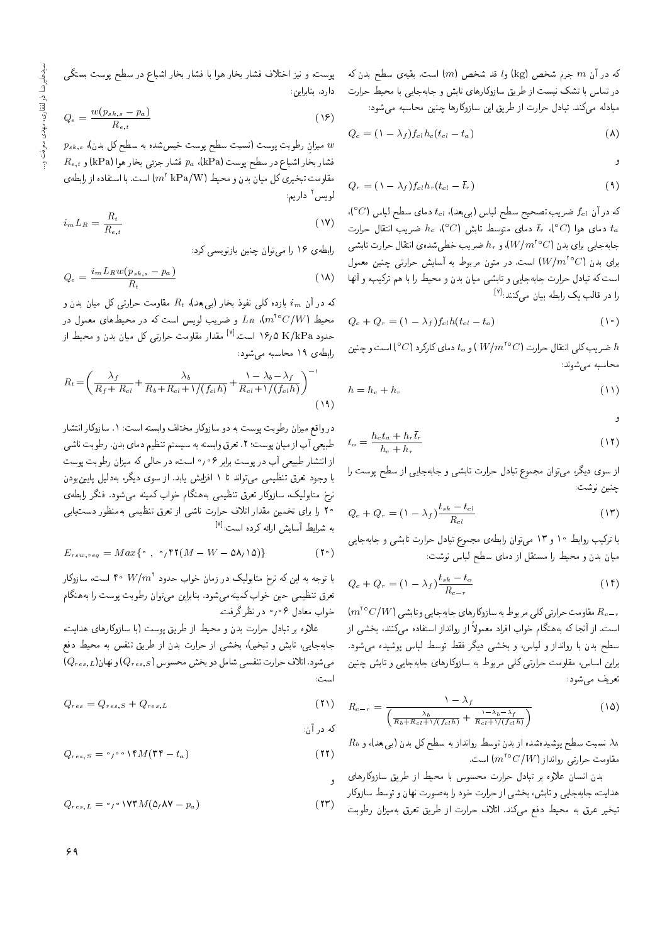که در آن  $m$  جرم شخص  $\rm(kg)$  و $l$  قد شخص (kg) كه در آن پسطح بدن که در تماس با تشک نیست از طریق سازوکارهای تابش و جابهجایی با محیط حرارت مبادله میکند. تبادل حرارت از طریق این سازوکارها چنین محاسبه می شود:

$$
Q_c = \left(1 - \lambda_f\right) f_{cl} h_c \left(t_{cl} - t_a\right) \tag{A}
$$

w

$$
Q_r = (\lambda - \lambda_f) f_{cl} h_r (t_{cl} - \bar{t}_r)
$$
\n(4)

که در آن  $f_{cl}$  ضریب تصحیح سطح لباس (بیبعد)،  $t_{cl}$  دمای سطح لباس ( $^{\circ}C$ )، دمای هوا  $\bar{t}_r$  (°C) دمای هوا  $\bar{t}_r$  دمای متوسط تابش  $c$  'C مای $t_a$ جابهجایی برای بدن  $(W/m^{\mathsf{v}_\mathbf{o}}C)$ ، و  $h_r$  ضریب خطیشدهی انتقال حرارت تابشی برای بدن (W/ $m^{\tau \circ}$ C) است. در متون مربوط به أسایش حرارتی چنین معمول است که تبادل حرارت جابهجایی و تابشی میان بدن و محیط را با هم ترکیب، و آنها را در قالب یک رابطه بیان میکنند:<sup>[۷]</sup><br>.

$$
Q_c + Q_r = (\lambda - \lambda_f) f_{cl} h(t_{cl} - t_o)
$$
 (1)

ضريب كلي انتقال حرارت (W/ $m^{\text{to}}$  ) و 10 دماي كاركرد (C°C) است و چنين  $h$ محاسبه می شوند:

$$
h = h_c + h_r \tag{11}
$$

w

$$
t_o = \frac{h_c t_a + h_r \bar{t}_r}{h_c + h_r} \tag{17}
$$

از سوی دیگر، می;وان مجموع تبادل حرارت تابشی و جابهجایی از سطح پوست را چنين نوشت:

$$
Q_c + Q_r = (\lambda - \lambda_f) \frac{t_{sk} - t_{cl}}{R_{cl}} \tag{17}
$$

با ترکیب روابط ۱۰ و ۱۳ می توان رابطهی مجموع تبادل حرارت تابشی و جابهجایی میان بدن و محیط را مستقل از دمای سطح لباس نوشت:

$$
Q_c + Q_r = \left(1 - \lambda_f\right) \frac{t_{sk} - t_o}{R_{c-r}}
$$
\n(1f)

 $\mu^{18}C/W$ مقاومت حرارتی کلی مربوط به سازوکارهای جابهجایی و تابشی  $R_{c-r}$ است. از أنجا كه بههنگام خواب افراد معمولاً از روانداز استفاده مىكنند، بخشى از سطح بدن با روانداز و لباس، و بخشى ديگر فقط توسط لباس پوشيده مى شود. براین اساس، مقاومت حرارتی کلی مربوط به سازوکارهای جابهجایی و تابش چنین تعريف سي شود:

$$
R_{c-r} = \frac{1 - \lambda_f}{\left(\frac{\lambda_b}{R_b + R_{cl} + \sqrt{(f_{cl}h)}} + \frac{1 - \lambda_b - \lambda_f}{R_{cl} + \sqrt{(f_{cl}h)}}\right)}
$$
(10)

 $R_b$  سبت سطح پوشیدهشده از بدن توسط روانداز به سطح کل بدن (بی بعد)، و  $\lambda_b$ مقاومت حرارتی روانداز ( $m^{\text{to}}C/W$ ) است.

بدن انسان علاوه بر تبادل حرارت محسوس با محيط از طريق سازوكارهاى هدایت، جابهجایی و تابش، بخشی از حرارت خود را بهصورت نهان و توسط سازوکار تبخير عرق به محيط دفع مىكند. اتلاف حرارت از طريق تعرق بهميزان رطوبت

پوست، و نیز اختلاف فشار بخار هوا با فشار بخار اشباع در سطح پوست بستگی دارد. بنابراین:

$$
Q_e = \frac{w(p_{sk,s} - p_a)}{R_{e,t}} \tag{18}
$$

 $p_{s k , s}$  'u میزان رطوبت پوست (نسبت سطح پوست خیسشده به سطح کل بدن)  $R_{e,t}$  فشار بخار اشباع در سطح پوست (kPa 'kPa فشار جزئى بخار هوا مقاومت تبخیری کل میان بدن و محیط (m<sup>۲</sup> kPa/W) است. با استفاده از رابطهی<br>' لويس<sup>٢</sup> داريم:

$$
i_m L_R = \frac{R_t}{R_{e,t}} \tag{1V}
$$

رابطهی ۱۶ را می توان چنین بازنویسی کرد:

$$
Q_e = \frac{i_m L_R w (p_{sk,s} - p_a)}{R_t} \tag{14}
$$

که در آن  $i_m$  بازده کلبی نفوذ بخار (بی $R_t$  ابعد ا $R_t$  مقاومت حرارتی کل میان بدن و محیط  $L_R$  (m $^{\rm t\, o}$   $C/W$ ) و ضریب لویس است که در محیطهای معمول در حدود ۱۶٫۵ K/kPa است.<sup>[۷]</sup> مقدار مقاومت حرارتی کل میان بدن و محیط از<br>اما می ۱۰ در ما رابطهى ١٩ محاسبه مى شود:

$$
R_t = \left(\frac{\lambda_f}{R_f + R_{cl}} + \frac{\lambda_b}{R_b + R_{cl} + \sqrt{(f_{cl}h)}} + \frac{\lambda_b - \lambda_f}{R_{cl} + \sqrt{(f_{cl}h)}}\right)^{-1}
$$
\n(14)

در واقع میزان رطوبت پوست به دو سازوکار مختلف وابسته است: ۱. سازوکار انتشار طبیعی أب از میان پوست؛ ۲. تعرق وابسته به سیستم تنظیم دمای بدن. رطوبت ناشی از انتشار طبیعی أب در پوست برابر ۰٫۰۶ است، در حالبی که میزان رطوبت پوست با وجود تعرق تنظیمی می تواند تا ۱ افزایش یابد. از سوی دیگر، بهدلیل پایین بودن نرخ متابولیک، سازوکار تعرق تنظیمی بههنگام خواب کمینه میشود. فنگر رابطهی ۲۰ را برای تخمین مقدار اتلاف حرارت ناشی از تعرق تنظیمی بهمنظور دست<u>ی</u>ابی به شرایط آسایش ارائه کرده است:<sup>[۷]</sup><br>.

$$
E_{rsw,req} = Max\{ \circ , \circ , \mathsf{fY}(M - W - \Delta \mathsf{A}, \mathsf{Y}) \}
$$
(Y $\circ$ )

با توجه به این که نرخ متابولیک در زمان خواب حدود ' W/m ' ۴۰ است، سازوکار<br>مرحمت استفاد تعرق تنظیمی حین خواب کمینهمی شود. بنابراین می توان رطوبت پوست را به هنگام خواب معادل ۰٫۰۶ در نظر گرفت.

علاوه بر تبادل حرارت بدن و محیط از طریق پوست (با سازوکارهای هدایت، جابهجایی، تابش و تبخیر)، بخشی از حرارت بدن از طریق تنفس به محیط دفع  $(Q_{res,L})$ میشود. اتلاف حرارت تنفسی شامل دو بخش محسوس ( $Q_{res,S})$ ) و نهان اسب :<br>-

$$
Q_{res} = Q_{res,S} + Q_{res,L} \tag{1}
$$

که در آن:

w

$$
Q_{res,S} = \circ_1 \circ \circ \mathcal{M}(\mathbf{r} + t_a) \tag{11}
$$

 $Q_{res,L} = \circ \rho \circ \text{VYM}(\Delta_t \text{AV} - p_a)$  (17)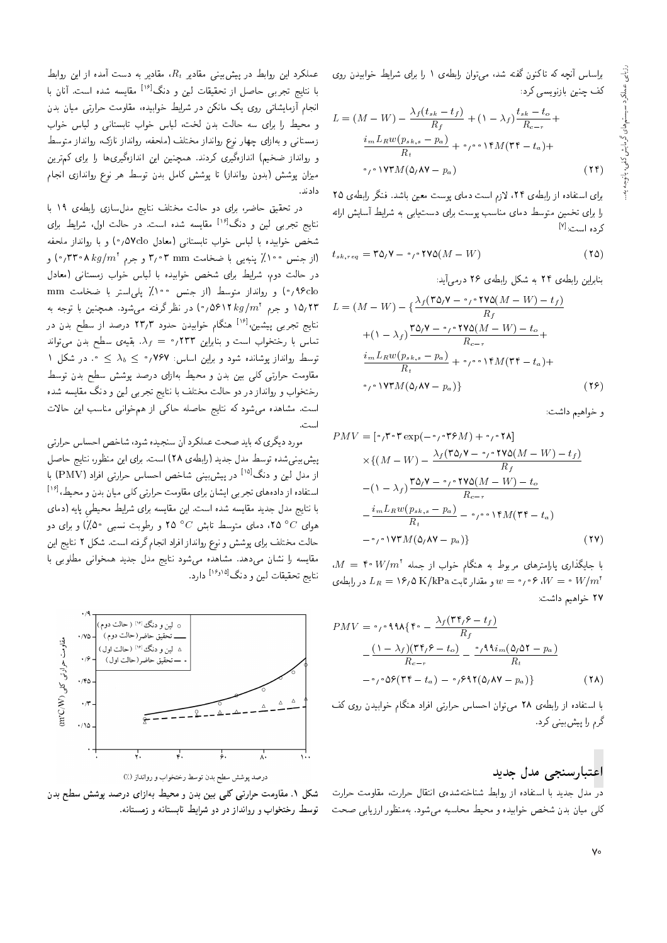براساس أنجه كه تاكنون گفته شد، مى توان رابطهى ١ را براى شرايط خوابيدن روى كف چنين بازنويسى كرد:

L = (M W) <sup>f</sup> (tsk t<sup>f</sup> ) R<sup>f</sup> + (1 <sup>f</sup> ) tsk t<sup>o</sup> Rcr + imLRw(psk;s pa) R<sup>t</sup> <sup>+</sup> 0 0014M(34 <sup>t</sup>a)+ 0 0173M(5 87 <sup>p</sup>a) (24)

برای استفاده از رابطهی ۲۴، لازم است دمای پوست معین باشد. فنگر رابطهی ۲۵ را برای تخمین متوسط دمای مناسب پوست برای دست یابی به شرایط آسایش ارائه کرده است:<sup>[۷]</sup>

$$
t_{sk,req} = \text{TO}/\text{V} - \circ \text{VVO}(M - W) \tag{10}
$$

بنابراین رابطهی ۲۴ به شکل رابطهی ۲۶ درمه آید:

$$
L = (M - W) - \left\{ \frac{\lambda_f (\Upsilon \Delta_f V - \frac{\partial f}{\partial V} V \Delta(M - W) - t_f)}{R_f} \right\}
$$
  
+ 
$$
(\Upsilon - \lambda_f) \frac{\Upsilon \Delta_f V - \frac{\partial f}{\partial V} V \Delta(M - W) - t_o}{R_{c-r}} + \frac{i_m L_R w (p_{sk,s} - p_a)}{R_t} + \frac{\partial f}{\partial V} V \Upsilon M(\Upsilon f - t_a) + \frac{\partial f}{\partial V} V \Upsilon M(\Delta_f V - p_a) \}
$$
(17)

و خواهيم داشت:

$$
PMV = [\circ, \mathbf{T} \circ \mathbf{T} \exp(-\circ, \circ \mathbf{T} \circ M) + \circ, \circ \mathbf{T} \wedge]
$$
  
\n
$$
\times \{ (M - W) - \frac{\lambda_f (\mathbf{T} \mathbf{Q} \cdot \mathbf{V} - \circ, \circ \mathbf{T} \mathbf{V} \mathbf{Q} (M - W) - t_f)}{R_f}
$$
  
\n
$$
-(1 - \lambda_f) \frac{\mathbf{T} \mathbf{Q} \cdot \mathbf{V} - \circ, \circ \mathbf{T} \mathbf{V} \mathbf{Q} (M - W) - t_o}{R_{c-r}}
$$
  
\n
$$
-\frac{i_m L_R w (p_{sk,s} - p_a)}{R_t} - \circ, \circ \circ \mathbf{V} M (\mathbf{T} \mathbf{F} - t_a)
$$
  
\n
$$
-\circ, \circ \mathbf{V} \mathbf{T} M (\mathbf{Q} \cdot \mathbf{A} \mathbf{V} - p_a) \}
$$
(17)

 $M =$  ۴۰ W/m<sup>3</sup> با جایگذاری پارامترهای مربوط به هنگام خواب از جمله  $W = \frac{M}{L}$ و مقدار ثابت K/kPa و 16/0 ^ (-0 0) و مقدار ثابت K/kPa و  $L_R = v \circ W = 0$  در رابطه ی  $w = w/m^2$ ٢٧ خواهيم داشت:

$$
PMV = \circ \rho \circ \mathbf{A} \mathbf{A} \{ \mathbf{f} \circ -\frac{\lambda_f (\mathbf{f} \mathbf{f}) \mathbf{f} - t_f)}{R_f} - \frac{(\mathbf{I} - \lambda_f)(\mathbf{f} \mathbf{f}) \mathbf{f} - t_o)}{R_{c-r}} - \frac{\circ \rho \mathbf{A} \mathbf{A} i_m (\mathbf{A}) \mathbf{A} \mathbf{f} - p_a)}{R_t} - \circ \rho \circ \mathbf{A} \mathbf{f} (\mathbf{f} \mathbf{f} - t_a) - \circ \rho \mathbf{A} \mathbf{f} (\mathbf{A}) \mathbf{A} \mathbf{V} - p_a) \}
$$
(1A)

با استفاده از رابطهی ۲۸ می توان احساس حرارتی افراد هنگام خوابیدن روی کف گرم را پیش بینی کرد.

### اعتبارسنجي مدل جديد

در مدل جدید با استفاده از روابط شناختهشدهی انتقال حرارت، مقاومت حرارت کلی میان بدن شخص خوابیده و محیط محاسبه میشود. بهمنظور ارزیابی صحت

عملکرد این روابط در پیش بینی مقادیر  $R_t$ ، مقادیر به دست آمده از این روابط<br>اینات مقادی ایران مقادیر استفاده این مقابلات با نتایج تجربی حاصل از تحقیقات لین و دنگ<sup>[۱۶]</sup> مقایسه شده است. آنان با<br>این آر اینان انجام آزمایشاتی روی یک مانکن در شرایط خوابیده، مقاومت حرارتی میان بدن<br>و محیط را برای سه حالت بدن لخت، لباس خواب تابستانی و لباس خواب ?=wN T=@r w |v=DU@=D ?=wN T=@r 'CNr uO@ Cr=L xU |=Q@ =Q \}Lt w زمستانی و به[زای چهار نوع روانداز محتک از محصه، روانداز نازک، روانداز متوسط<br>این استکار استکار استگاه کرد. و روانداز ضخیم) اندازهگیری کردند. همچنین این اندازهگیریها را برای کم ترین میزان پوشش (بدون روانداز) تا پوشش کامل بدن توسط هر نوع رواندازی انجام دادند.

در تحقیق حاضر، برای دو حالت مختلف نتایج مدلسازی رابطهی ۱۹ با نتایج تجربی لین و دنگ<sup>[۱۶]</sup> مقایسه شده است. در حالت اول، شرایط برای<br>میده میدارد را اما با میدارید از را در اما به ۱۸۷۸ شخص خوابيده با لباس خواب تابستاني (معادل 0Yclo) و با روانداز ملحفه ااز جنس ۱۰۰٪ پنبه یی با ضخامت ۳٫۰۳ و جرم ۲۳۰۸ kg/m<sup>۲</sup> ) و)<br>المقدار المقدار المقدار با استفاده استفاده استفاده استفاده المقدار در حالت دوم، شرايط براى شخص خوابيده با لباس خواب زمستانى (معادل ۹۶clo) و روانداز متوسط (از جنس ۱۰۰۰٪ یلی استر با ضخامت mm ۱۵٬۲۳ و جرم ۵۶۱۲ kg/m و را نظر گرفته می شود. همچنین با توجه به  $\mathcal{N}(m^{\mathfrak{r}})$ نتایج تجربی پیشین،<sup>[۱۶]</sup> هنگام خوابیدن حدود ۲۳٫۳ درصد از سطح بدن در<br>مارسان منتهای استفاده داران **سعود** تماس با رختخواب است و بنابراین ۲۳۳٫ =  $\lambda_f$ . بقیهی سطح بدن می تواند 1 توسط روانداز پوشانده شود و براین اساس: ۷۶۷  $\lambda_b \leq \lambda_b \leq \cdots$  در شکل مقاومت حرارتی کلی بین بدن و محیط بهازای درصد پوشش سطح بدن توسط رختخواب و روانداز در دو حالت مختلف با نتايج تجربي لين و دنگ مقايسه شده است. مشاهده میشود که نتایج حاصله حاکی از همخوانی مناسب این حالات اسب .<br>-

مورد دیگری که باید صحت عملکرد آن سنجیده شود، شاخص احساس حرارتی پیش بینی شده توسط مدل جدید (رابطهی ۲۸) است. برای این منظور، نتایج حاصل از مدل لین و دنگ<sup>[۱۵]</sup> در پیش بینی شاخص احساس حرارتی افراد (PMV) با<br>استفاد اسلومات میشود و اینام است استفاده از دادههای تجربی ایشان برای مقاومت حرارتی کلی میان بدن و محیط،<sup>[۱۶</sup>]<br>اینمایست باید موسیقی است. با نتايج مدل جديد مقايسه شده است. اين مقايسه براى شرايط محيطى يايه (دماى هوای  $C$ ° ۲۵، دمای متوسط تابش  $C$ ° ۲۵ و رطوبت نسببی °۵٪) و برای دو حالت مختلف براى پوشش و نوع روانداز افراد انجام گرفته است. شكل ۲ نتايج اين مقايسه را نشان مى دهد. مشاهده مى شود نتايج مدل جديد همخوانى مطلوبى با نتايج تحقيقات لين و دنگ<sup>[۱۶٬۱۵]</sup> دارد.



درصد پوشش سطح بدن توسط رختخواب و روانداز (٪)

شکل ۱. مقاومت حرارتی کلی بین بدن و محیط بهازای درصد پوشش سطح بدن توسط رختخواب و روانداز در دو شرایط تابستانه و زمستانه.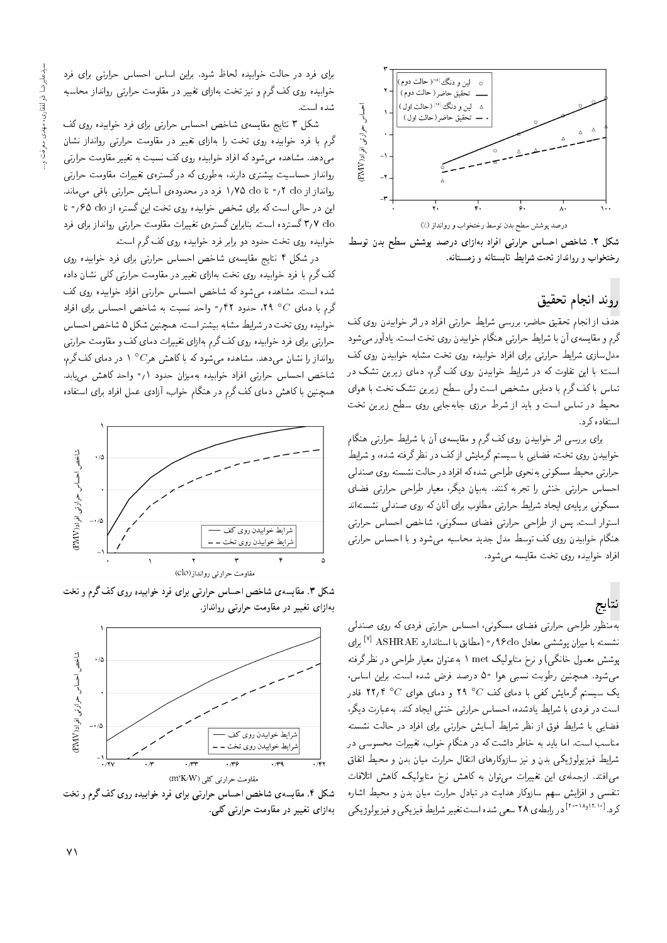

شکل ۲. شاخص احساس حرارتی افراد بهازای درصد پوشش سطح بدن توسط رختخواب و روانداز تحت شرایط تابستانه و زمستانه.

### روند انجام تحقيق

هدّف از انجام تحقیق حاضر، بررسی شرایط حرارتی افراد در اثر خوابیدن روی کف گرم و مقایسه ی آن با شرایط حرارتی هنگام خوابیدن روی تخت است. یادآور می شود مدل $باری شرایط حرارتی برای افراد خوابیده روی تخت مشابه خوابیدن روی کف  
است؛ با این تفاوت که در شرایط خوابیدن روی کف گرم، دمای زیرین تشک در$ است: با این هاوت نه در سرایط حوابیدن روی نف درم، دمای زیرین سنگ در<br>- اسماء کاه کسان است و مسئل سانگاه است و کرده و است لماس با لف لرم با دمایی مسحص است ولی سطح زیرین تسک بحث با هوای<br>مسلمان است استکشار است است محیط در تماس است و باید از شرط مرزی جابهجایی روی سطح زیرین تخت استفاده کرد.

برای بررسی اثر خوابیدن روی کف گرم و مقایسهی أن با شرایط حرارتی هنگام خوابیدن روی تخت، فضایی با سیستم گرمایش ازکف در نظرگرفته شده، و شرایط حرارتی محیط مسکونی بهنحوی طراحی شده که افراد در حالت نشسته روی صندلی |حساس حرارتی خنثی را تجربه کنند. بهبیان دیگر، معیار طراحی حرارتی فضای مسکونی برپایهی ایجاد شرایط حرارتی مطلوب برای آنان که روی صندلی نشستهاند استوار است. پس از طراحی حرارتی فضای مسکونی، شاخص احساس حرارتی هنگام خوابیدن روی کف توسط مدل جدید محاسبه میشود و با احساس حرارتی افراد خوابيده روى تخت مقايسه مى شود.

# نتايج

بهمنظور طراحی حرارتی فضای مسکونی، احساس حرارتی فردی که روی صندلی نشسته با میزان پوششی معادل ۹۶clo، « (مطابق با استاندارد <sup>Y</sup>l ASHRAE) برای<br>مسیحیه میزانگری میده و با یکی به میزانگری به استاندارد بوشش معمول خانگی) و نرخ متابولیک met ۱ به عنوان معیار طراحی در نظرگرفته میشود. همچنین رطوبت نسبی هوا ۵۰ درصد فرض شده است. براین اساس، یک سیستم گرمایش کفی با دمای کف $C$ ° ۲۹ و دمای هوای $C$ ° ۲۲٫۴ قادر است در فردی با شرایط یادشده، احساس حرارتی خنثی ایجاد کند. به عبارت دیگر، فضایی با شرایط فوق از نظر شرایط أسایش حرارتی برای افراد در حالت نشسته مناسب است. اما باید به خاطر داشت که در هنگام خواب، تغییرات محسوسی در شرایط فیزیولوژیکی بدن و نیز سازوکارهای انتقال حرارت میان بدن و محیط اتفاق میافتد. ازجملهی این تغییرات میتوان به کاهش نرخ متابولیک، کاهش اتلافات تنفسی و افزایش سهم سازوکار هدایت در تبادل حرارت میان بدن و محیط اشاره کرد.<sup>[۱۲۰۰</sup>٬۰<sup>۱۲</sup>۰ در رابطه ی ۲۸ سعی شده است تغییر شرایط فیزیکی و فیزیولوژیکی<br>.

برای فرد در حالت خوابیده لحاظ شود. براین اساس احساس حرارتی برای فرد خوابیده روی کف گرم و نیز تخت بهازای تغییر در مقاومت حرارتی روانداز محاسبه شده است.

شکل ۳ نتایج مقایسه ی شاخص احساس حرارتی برای فرد خوابیده روی کف گرم با فرد خوابیده روی تخت را بهازای تغییر در مقاومت حرارتی روانداز نشان میدهد. مشاهده میشودکه افراد خوابیده روی کف نسبت به تغییر مقاومت حرارتی روانداز حساسیت بیشتری دارند، بهطوری که در گسترهی تغییرات مقاومت حرارتی روانداز از Clo ٢ / ° تا ١/٧۵ دارد در محدودهى آسايش حرارتى باقى مىماند. این در حالی است که برای شخص خوابیده روی تخت این گستره از 6lo ۶/۰° تا op لا, ۳ گسترده است. بنابراین گسترهی تغییرات مقاومت حرارتی روانداز برای فرد خوابیده روی تخت حدود دو برابر فرد خوابیده روی کف گرم است.

در شکل ۴ نتایج مقایسهی شاخص احساس حرارتی برای فرد خوابیده روی کف گرم با فرد خوابیده روی تخت بهازای تغییر در مقاومت حرارتی کلی نشان داده شده است. مشاهده می شود که شاخص احساس حرارتی افراد خوابیده روی کف گرم با دمای  $C$ ° ۲۹، حدود ۴۲٫ واحد نسبت به شاخص احساس برای افراد خوابیده روی تخت در شرایط مشابه بیشتر است. همچنین شکل ۵ شاخص احساس حرارتی برای فرد خوابیده روی کف گرم بهازای تغییرات دمای کف و مقاومت حرارتی روانداز را نشان می دهد. مشاهده می شود که با کاهش هر $C$ ° ۱ در دمای کف گرم، شاخص احساس حرارتی افراد خوابیده بهمیزان حدود ۰٫۱ واحد کاهش می یابد. همچنین با کاهش دمای کف گرم در هنگام خواب، آزادی عمل افراد برای استفاده



شکل ۳. مقایسهی شاخص احساس حرارتی برای فرد خوابیده روی کف گرم و تخت بهازای تغییر در مقاومت حرارتی روانداز.



شکل ۴. مقایسهی شاخص احساس حرارتی برای فرد خوابیده روی کف گرم و تخت بهازای تغیی<sub>ر</sub> در مقاومت حرارتبی کلبی.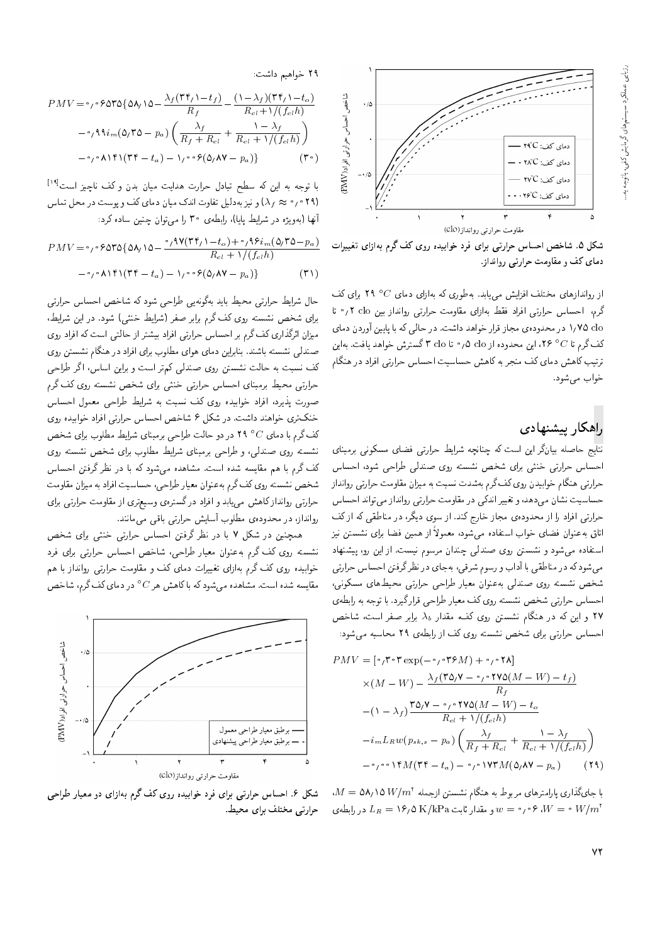

شکل ۵. شاخص احساس حرارتی برای فرد خوابیده روی کف گرم به زای تغییرات دمای کف و مقاومت حرارتی روانداز.

از رواندازهای مختلف افزایش مییابد. بهطوری که بهازای دمای  $C$ ° ۲۹ برای کف گرم، احساس حرارتی افراد فقط بهازای مقاومت حرارتی روانداز بین clo ۲٫۲ تا 0\v 0 در محدودهي مجاز قرار خواهد داشت. در حالبي كه با پايين آوردن دماي كف گرم تا $C$ ° ۲۶، اين محدوده از ۵clo  $\mathfrak{o}$  ، تا ۳ clo گسترش خواهد يافت. بهاين ترتیب کاهش دمای کف منجر به کاهش حساسیت احساس حرارتی افراد در هنگام خواب مى شود.

### راهكار ييشنهادي

نتایج حاصله بیانگر این است که چنانچه شرایط حرارتی فضای مسکونی برمبنای احساس حرارتی خنثی برای شخص نشسته روی صندلی طراحی شود، احساس حرارتی هنگام خوابیدن روی کف گرم بهشدت نسبت به میزان مقاومت حرارتی روانداز حساسیت نشان میدهد، و تغییر اندکی در مقاومت حرارتی روانداز میتواند احساس حرارتی افراد را از محدودهی مجاز خارج کند. از سوی دیگر، در مناطقی که از کف اتاق بهعنوان فضاى خواب استفاده مىشود، معمولاً از همين فضا براى نشستن نيز استفاده میشود و نشستن روی صندلی چندان مرسوم نیست. از این رو، پیشنهاد میشود که در مناطقی با آداب و رسوم شرقی، بهجای در نظرگرفتن احساس حرارتی شخص نشسته روى صندلى بهعنوان معيار طراحى حرارتى محيطهاى مسكونى، |حساس حرارتی شخص نشسته روی کف معیار طراحی قرار گیرد. با توجه به رابطهی لا و این که در هنگام نشستن روی کف، مقدار  $\lambda_b$  برابر صفر است، شاخص Xv احساس حرارتی برای شخص نشسته روی کف از رابطهی ۲۹ محاسبه می شود:

$$
PMV = [\circ_{f} \circ \tau \exp(-\circ_{f} \circ \tau \circ M) + \circ_{f} \circ \tau \wedge]
$$
  
\n
$$
\times (M - W) - \frac{\lambda_{f}(\tau \Delta_{f} \mathbf{V} - \circ_{f} \circ \tau \mathbf{V} \Delta(M - W) - t_{f})}{R_{f}}
$$
  
\n
$$
-(1 - \lambda_{f}) \frac{\tau \Delta_{f} \mathbf{V} - \circ_{f} \circ \tau \mathbf{V} \Delta(M - W) - t_{o}}{R_{cl} + 1/(f_{cl} h)}
$$
  
\n
$$
-i_{m} L_{R} w(p_{sk,s} - p_{a}) \left( \frac{\lambda_{f}}{R_{f} + R_{cl}} + \frac{1 - \lambda_{f}}{R_{cl} + 1/(f_{cl} h)} \right)
$$
  
\n
$$
- \circ_{f} \circ \tau \mathbf{V} M (\tau \tau - t_{a}) - \circ_{f} \circ \tau \mathbf{V} M (\Delta_{f} \mathbf{A} \mathbf{V} - p_{a})
$$
 (74)

 $M = \Delta \mathsf{A}_\ell \setminus \Delta \, W/m^\tau$  با جایگذاری پارلمترهای مربوط به هنگام نشستن ازجمله  $W/m^\tau$ و مقدار ثابت K/kPa و 16 / 0 / 0 ^، ۶ م و $w=v$  و مقدار ثابت K/kPa ف $L_R = V \rho \rho$  در رابطه ی  $W = v \, W/m^2$ 

۲۹ خواهیم داشت:

$$
PMV = \circ \rho \circ \text{DTO} \{ \Delta \Lambda / \Delta - \frac{\lambda_f (\Upsilon \Upsilon_f) - t_f)}{R_f} - \frac{(\Upsilon - \lambda_f) (\Upsilon \Upsilon_f) - t_o)}{R_{cl} + \Upsilon / (f_{cl} h)}
$$
  
-\circ \rho \Lambda \hat{\mathbf{u}}\_m (\Delta\_f \Upsilon \Delta - p\_a) \left( \frac{\lambda\_f}{R\_f + R\_{cl}} + \frac{\Upsilon - \lambda\_f}{R\_{cl} + \Upsilon / (f\_{cl} h)} \right)  
-\circ \rho \Lambda \Upsilon \Gamma (\Upsilon \Upsilon - t\_a) - \Upsilon \rho \circ \text{P} (\Delta\_f \Lambda \mathbf{V} - p\_a) \} ( \Upsilon \circ )

با توجه به این که سطح تبادل حرارت هدایت میان بدن و کف ناچیز است<sup>[۱۹]</sup> د (۲۹ قرمت جو این به دلیل تفاوت اندک میان دمای کف و پوست در محل تماس (۲۹ قرم و می اس أنها (بهويژه در شرايط يابا)، رابطهي ٣٥ را مبي توان چنين ساده كرد:

$$
PMV = \circ \rho \circ \rho \circ \rho \circ \rho \circ (\Delta \Lambda / \Delta - \frac{\circ \rho \circ \rho \circ (\gamma \circ \gamma) - t_o) + \circ \rho \circ \rho \circ \rho}{R_{cl} + \gamma / (f_{cl} h)}
$$

$$
- \circ \rho \circ \rho \circ \rho \circ (\gamma \circ \rho \circ \rho \circ (\Delta \Lambda \Lambda \Lambda) - \rho \circ \rho \circ (\Delta \Lambda \Lambda \Lambda) - \rho \circ (\Delta \Lambda \Lambda \Lambda) - \rho \circ (\Delta \Lambda \Lambda \Lambda) - \rho \circ (\Delta \Lambda \Lambda \Lambda) - \rho \circ (\Delta \Lambda \Lambda \Lambda) - \rho \circ (\Delta \Lambda \Lambda \Lambda) - \rho \circ (\Delta \Lambda \Lambda \Lambda) - \rho \circ (\Delta \Lambda \Lambda \Lambda) - \rho \circ (\Delta \Lambda \Lambda \Lambda) - \rho \circ (\Delta \Lambda \Lambda \Lambda) - \rho \circ (\Delta \Lambda \Lambda \Lambda) - \rho \circ (\Delta \Lambda \Lambda \Lambda) - \rho \circ (\Delta \Lambda \Lambda \Lambda) - \rho \circ (\Delta \Lambda \Lambda \Lambda) - \rho \circ (\Delta \Lambda \Lambda \Lambda) - \rho \circ (\Delta \Lambda \Lambda \Lambda) - \rho \circ (\Delta \Lambda \Lambda \Lambda) - \rho \circ (\Delta \Lambda \Lambda \Lambda) - \rho \circ (\Delta \Lambda \Lambda \Lambda) - \rho \circ (\Delta \Lambda \Lambda \Lambda) - \rho \circ (\Delta \Lambda \Lambda \Lambda) - \rho \circ (\Delta \Lambda \Lambda \Lambda) - \rho \circ (\Delta \Lambda \Lambda \Lambda) - \rho \circ (\Delta \Lambda \Lambda \Lambda) - \rho \circ (\Delta \Lambda \Lambda \Lambda) - \rho \circ (\Delta \Lambda \Lambda \Lambda) - \rho \circ (\Delta \Lambda \Lambda \Lambda) - \rho \circ (\Delta \Lambda \Lambda \Lambda) - \rho \circ (\Delta \Lambda \Lambda \Lambda) - \rho \circ (\Delta \Lambda \Lambda \Lambda) - \rho \circ (\Delta \Lambda \Lambda \Lambda) - \rho \circ (\Delta \Lambda \Lambda \Lambda) - \rho \circ (\Delta \Lambda \Lambda \Lambda) - \rho \circ (\Delta \Lambda \Lambda \Lambda) - \rho \circ (\Delta \Lambda \Lambda \Lambda) - \rho \circ (\Delta \Lambda \Lambda \Lambda) - \rho \circ (\Delta \Lambda \Lambda \Lambda) - \rho \circ (\Delta \Lambda \Lambda) - \rho \circ (\Delta \Lambda \Lambda) - \rho \circ (\Delta \Lambda \Lambda) - \rho \circ (\Delta \Lambda \Lambda) - \rho \circ (\Delta \Lambda \Lambda) - \rho \circ (\Delta \Lambda \Lambda) - \rho \circ (\Delta \Lambda \Lambda) - \rho \circ (\Delta \Lambda \Lambda) - \rho \circ (\Delta \Lambda \Lambda) - \rho \circ
$$

حال سرایط حراربی محیط باید بهدونهیی طراحی سود که ساحص احساس حراربی<br>این مطلب این مطلب می گسته '\}=QW u}= QO "OwW |FvN \}=QW QiY Q@=Q@ sQo hm |wQ xDUWv XNW |=Q@ میزان اثرگذاری کف گرم بر احساس حرارتی افراد بیشتر از حالتی است که افراد روی صندلمی نشسته باشند. بنابراین دمای هوای مطلوب برای افراد در هنگام نشستن روی کف نسبت به حالت نشستن روی صندلی کمتر است و براین اساس، اگر طراحی<br>حرارتی محیط برمبنای احساس حرارتی خنثی برای شخص نشسته روی کف گرم حراربی محیط برمسای احساس حراربی حسی برای سحص سسته روی نف درم<br>مساحر اسک صورت پدیرد، افزاد حوابیده روی تف سبب به سرایط طراحی معمول احساس<br>منکب مسلمان استان استکاره دارد استان استان استان استان استان خنکتری خواهند داشت. در شکل ۶ شاخص احساس حرارتی افراد خوابیده روی كف گرم با دماى  $C$ ° ۲۹ در دو حالت طراحى برمبناى شرايط مطلوب براى شخص نشسته روی صندلی، و طراحی برمبنای شرایط مطلوب برای شخص نشسته روی کف گرم با هم مقایسه شده است. مشاهده می شود که با در نظر گرفتن احساس شخص نشسته روى كف گرم به عنوان معيار طراحي، حساسيت افراد به ميزان مقاومت حرارتی روانداز کاهش می یابد و افراد در گسترهی وسیعتری از مقاومت حرارتی برای روانداز، در محدودهى مطلوب أسايش حرارتي باقى مى مانند.

همچنین در شکل ۷ با در نظر گرفتن احساس حرارتی خنثی برای شخص نشسته روى كف گرم به عنوان معيار طراحي، شاخص احساس حرارتي براي فرد خوابیده روی کف گرم بهازای تغییرات دمای کف و مقاومت حرارتی روانداز با هم مقایسه شده است. مشاهده میشود که با کاهش هر C° در دمای کف گرم، شاخص<br>.



شکل ۶. احساس حرارتی برای فرد خوابیده روی کف گرم به ازای دو معیار طراحی حرارتبی مختلف برای محیط.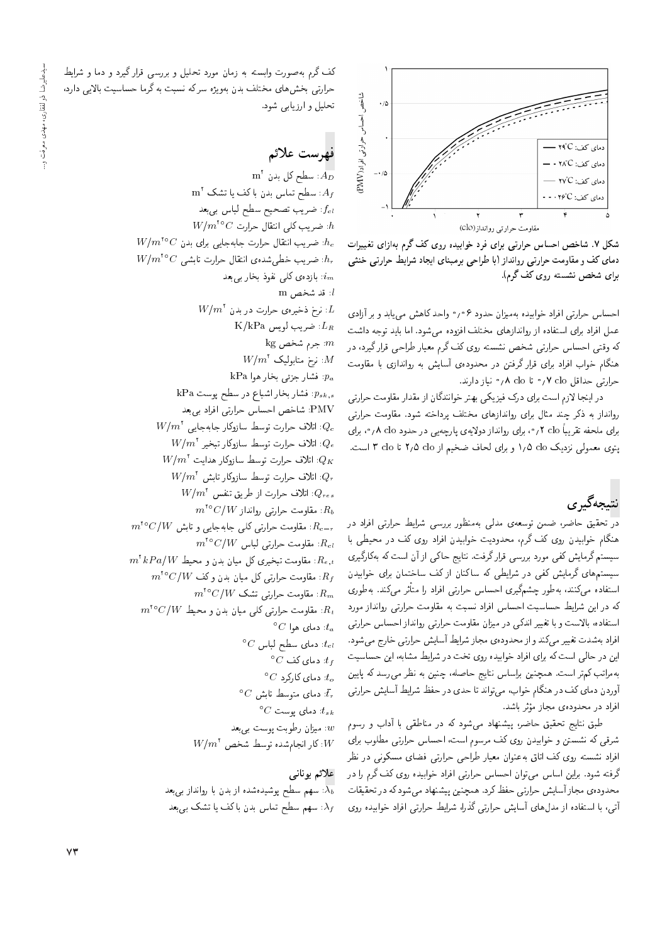

شکل ۷. شاخص احساس حرارتی برای فرد خوابیده روی کف گرم بهازای تغییرات دمای کف و مقاومت حرارتی روانداز (با طراحی برمبنای ایجاد شرایط حرارتی خنثی برای شخص نشسته روی کف گرم).

احساس حرارتی افراد خوابیده بهمیزان حدود ۰٫۰۶ واحد کاهش می یابد و بر آزادی عمل افراد برای استفاده از رواندازهای مختلف افزوده میشود. اما باید توجه داشت<br>که وقتی احساس حرارتی شخص نشسته روی کف گرم معیار طراحی قرار گیرد، در له وقتی احساس حزارتی سخص نسسته روی لف لرم معیار طراحی قرار لیرد، در<br>مگل معامل ایرانی است اسک هندام حواب افراد برای قرار درفتن در محدودهی اسایس به رواندازی با مقاومت<br>سایت ساخات از ۱۰ مئیستان استان است  $\sim$ طررتی حداقل ۷ clo و تا ۸ clo مر $\sim$  نیاز دارند.

در اینجا لازم است برای درک فیزیکی بهتر خوانندگان از مقدار مقاومت حرارتی روانداز به ذکر چند مثال برای رواندازهای مختلف پرداخته شود. مقاومت حرارتی برای ملحفه تقریباً ۲ clo <sub>( °</sub>، برای روانداز دولایهی پارچهیی در حدود ۲۵ n <sub>°</sub>، برای يتوى معمولي نزديك 10 1/8 و براى لحاف ضخيم از ٢/٥ clo t 7 clo است.

نتىچەگىرى

<mark>در</mark> تحقیق حاضر، ضمن توسعه، مدل<sub>ق</sub> بهمنظور بررسی شرایط حرارتی افراد در هنگام خوابیدن روی کف گرم، محدودیت خوابیدن افراد روی کف در محیطی با سیستم گرمایش کفی مورد بررسی قرار گرفت. نتایج حاکی از آن است که بهکارگیری سیستمهای گرمایش کفی در شرایطی که ساکنان از کف ساختمان برای خوابیدن استفاده می تند، به طور چشم نیری احساس حرارتی افراد را متاثر می تند. به طوری<br>کمیسا می استفاده است استفاده استفاده میشود. که در این شرایط حساسیت احساس افراد نسبت به مقاومت حرارتی روانداز مورد استفاده، بالاست و با تغییر اندکی در میزان مقاومت حرارتی روانداز احساس حرارتی افراد بهشدت تغییر میکند و از محدوده ی مجاز شرایط أسایش حرارتی خارج میشود. این در حالی است که برای افراد خوابیده روی تخت در شرایط مشابه، این حساسیت به مراتب كم تر است. همچنين براساس نتايج حاصله، چنين به نظر مى رسد كه پايين آوردن دمای کف در هنگام خواب، میتواند تا حدی در حفظ شرایط آسایش حرارتی افراد در محدودهى مجاز مؤثر باشد.

وىر باسد.<br>-طبق سایج تحقیق حاصر، پیستهاد می سود نه در مناطقی با آداب و رسوم<br>محمد استفاده شرقی که نشستن و خوابیدن روی کف مرسوم است، احساس حرارتی مطلوب برای افراد نشسته روی کف اتاق به عنوان معیار طراحی حرارتی فضای مسکونی در نظر گرفته شود. براین اساس می توان احساس حرارتی افراد خوابیده روی کف گرم را در محدودهى مجاز آسايش حرارتي حفظ كرد. همچنين پيشنهاد مي شود كه در تحقيقات آتی، با استفاده از مدلهای آسایش حرارتی گذرا، شرایط حرارتی افراد خوابیده روی

\}=QW w =tO w OQ}o Q=Qk |UQQ@ w p}rLD OQwt u=tR x@ xDU@=w CQwYx@ sQo hm حراریی بحس های محتلف بدن بهویژه سر ته سیب به ترما حساسیت بالایی دارد:<br>- با با با با با میدان تحليل و ارزيابي شود.

# فهرست علائم

 $\text{m}^\text{Y}$  سطح کل بدن:  $A_D$  $\text{m}^{\dagger}$  سطح تماس بدن با کف یا تشک $A_f$ خىريب تصحيح سطح لباس بىبعد: $f_{cl}$  $W/m^{\text{te}}C$  : ضريب كلى انتقال حرارت:  $h$  $W/m^{\text{te}}C$  : ضريب انتقال حرارت جابهجايي براي بدن:  $h_c$  $W/m^{\text{to}}C$  ضريب خطىشدەى انتقال حرارت تابشى  $h_r$ ازدهى كلى نفوذ بخار بىبعد:  $i_m$  $m$  is شخص  $l$  $W/m^\mathfrak{r}$  نرخ ذخیرهی حرارت در بدن  $L$  $K/kPa$  ضريب لويس  $L_R$  $k$ g جرم شخص: $m$  $W/m^{\dagger}$  نرخ متابوليک:  $M$ kPa فشار جزئى بخار هوا: $p_a$ kPa نشار بخار اشباع در سطح پوست $p_{sk,s}$ PMV: شاخص احساس حرارتي افراد بي بعد  $W/{m^7}$  اتلاف حرارت توسط سازوكار جابهجايى:  $Q_{\,c}$  $W/m^\intercal$ ا تلاف حرارت توسط سازوکار تبخیر  $Q_e$  $W/{m}^{\rm v}$  اتلاف حرارت توسط سازوکار هدایت. $Q_K$  $W/m^\dagger$  اتلاف حرارت توسط سازوكار تابش: $Q_x$  $W/{m}^{\rm T}$  اتلاف حرارت از طریق تنفس:  $Q_{res}$  $m^{\text{to}}$ سقاومت حرارتی روانداز  $R_b$  $m^{10}C/W$  مقاومت حرارتی کلی جابهجایی و تابش  $R_{c-r}$  $m^{\text{to}}$ سقاومت حرارتی لباس  $R_{cl}$  $m^7 \, kPa/W$  : مقاومت تبخیری کل میان بدن و محیط  $R_{e,t}$  $m^{18}C/W$  مقاومت حرارتی کل میان بدن و کف  $R_f$  $m^{\text{to}}$ سقاومت حرارتی تشک  $R_m$  $m^{\star}$ مقاومت حرارتی کلی میان بدن و محیط  $R_t$  $^{\circ}C$  دمای هوا  $^{\circ}t_a$  $^{\circ}C$  دمای سطح لباس  $t_{cl}$  $^{\circ}C$  دمای کف $^{\circ}C$  $^{\circ}C$  دمای کارکرد: $t_o$  $^\circ C$  دمای متوسط تابش  $\bar t_r$  ${}^{\circ}C$  دمای یوست:  $t_{sk}$ سیزان رطوبت پوست بی بعد : $w$  $W/m^\mathfrak{r}$  كار انجامشده توسط شخص: $W$ 

#### علائم بونانبي

سهم سطح پوشیدهشده از بدن با روانداز بی بعد: $\overline{\lambda_b}$ سهم سطح تماس بدن باكف يا تشك بىبعد: $\lambda_f$